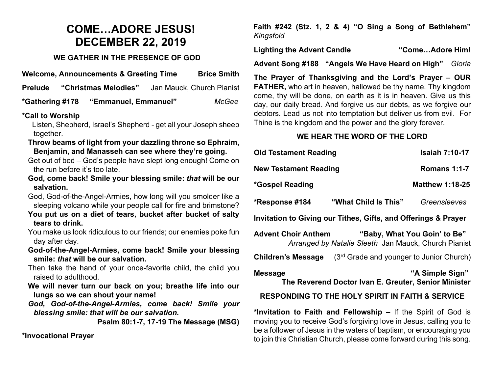### **COME…ADORE JESUS! DECEMBER 22, 2019**

#### **WE GATHER IN THE PRESENCE OF GOD**

**Welcome, Announcements & Greeting Time Brice Smith**

**Prelude "Christmas Melodies"** Jan Mauck, Church Pianist

**\*Gathering #178 "Emmanuel, Emmanuel"** *McGee*

#### **\*Call to Worship**

 Listen, Shepherd, Israel's Shepherd - get all your Joseph sheep together.

- **Throw beams of light from your dazzling throne so Ephraim, Benjamin, and Manasseh can see where they're going.**
- Get out of bed God's people have slept long enough! Come on the run before it's too late.
- **God, come back! Smile your blessing smile:** *that* **will be our salvation.**

God, God-of-the-Angel-Armies, how long will you smolder like a sleeping volcano while your people call for fire and brimstone?

- **You put us on a diet of tears, bucket after bucket of salty tears to drink.**
- You make us look ridiculous to our friends; our enemies poke fun day after day.
- **God-of-the-Angel-Armies, come back! Smile your blessing smile:** *that* **will be our salvation.**
- Then take the hand of your once-favorite child, the child you raised to adulthood.
- **We will never turn our back on you; breathe life into our lungs so we can shout your name!**
- *God, God-of-the-Angel-Armies, come back! Smile your blessing smile: that will be our salvation.*

**Psalm 80:1-7, 17-19 The Message (MSG)**

**\*Invocational Prayer** 

**Faith #242 (Stz. 1, 2 & 4) "O Sing a Song of Bethlehem"** *Kingsfold*

**Lighting the Advent Candle "Come…Adore Him!**

**Advent Song #188 "Angels We Have Heard on High"** *Gloria*

**The Prayer of Thanksgiving and the Lord's Prayer – OUR FATHER,** who art in heaven, hallowed be thy name. Thy kingdom come, thy will be done, on earth as it is in heaven. Give us this day, our daily bread. And forgive us our debts, as we forgive our debtors. Lead us not into temptation but deliver us from evil. For Thine is the kingdom and the power and the glory forever.

#### **WE HEAR THE WORD OF THE LORD**

| <b>Old Testament Reading</b>                                                                                                                             |                                            | <b>Isaiah 7:10-17</b>  |
|----------------------------------------------------------------------------------------------------------------------------------------------------------|--------------------------------------------|------------------------|
| <b>New Testament Reading</b>                                                                                                                             |                                            | <b>Romans 1:1-7</b>    |
| *Gospel Reading                                                                                                                                          |                                            | <b>Matthew 1:18-25</b> |
| *Response #184                                                                                                                                           | <b>"What Child Is This"</b>                | Greensleeves           |
| Invitation to Giving our Tithes, Gifts, and Offerings & Prayer                                                                                           |                                            |                        |
| <b>Advent Choir Anthem</b><br>"Baby, What You Goin' to Be"<br>Arranged by Natalie Sleeth Jan Mauck, Church Pianist                                       |                                            |                        |
| <b>Children's Message</b>                                                                                                                                | $(3rd$ Grade and younger to Junior Church) |                        |
| "A Simple Sign"<br><b>Message</b><br>The Reverend Doctor Ivan E. Greuter, Senior Minister<br><b>RESPONDING TO THE HOLY SPIRIT IN FAITH &amp; SERVICE</b> |                                            |                        |

**\*Invitation to Faith and Fellowship –** If the Spirit of God is moving you to receive God's forgiving love in Jesus, calling you to be a follower of Jesus in the waters of baptism, or encouraging you to join this Christian Church, please come forward during this song.